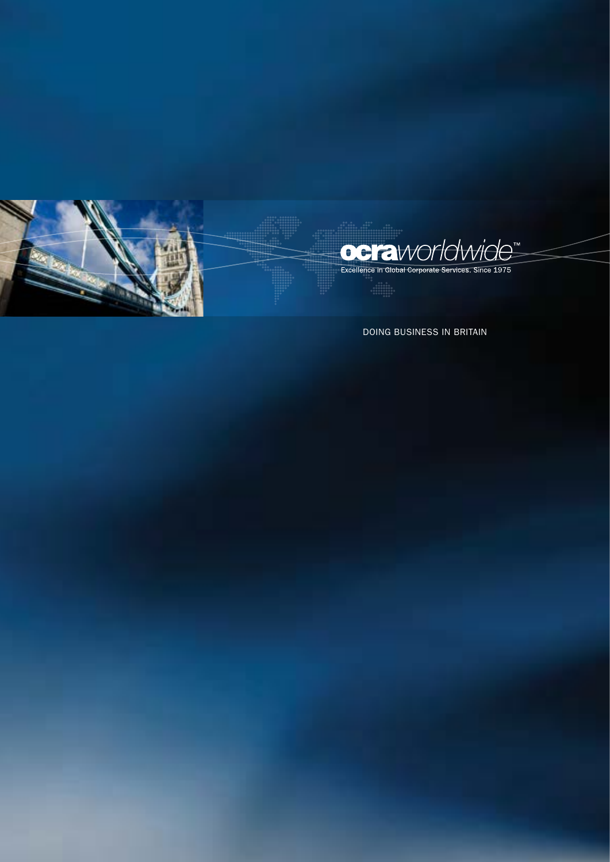

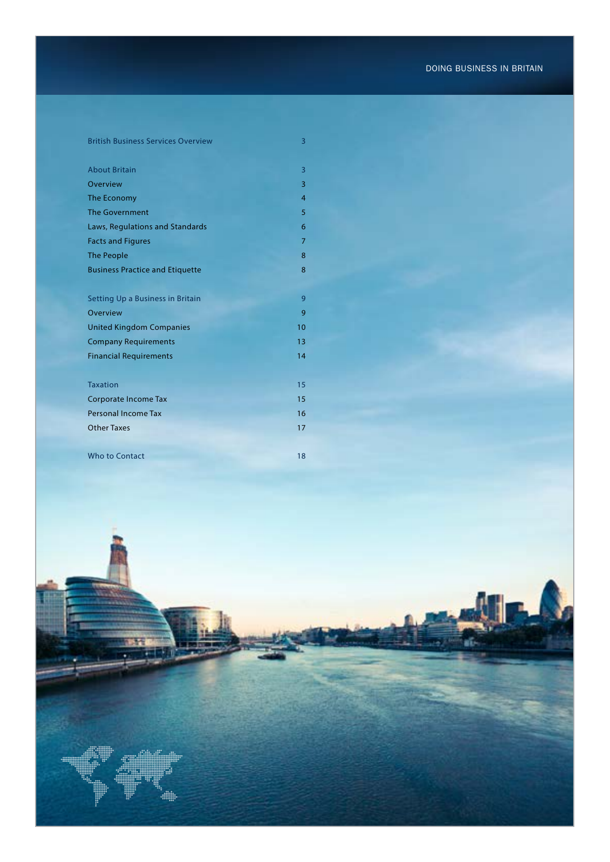# British Business Services Overview 3

| <b>About Britain</b>                   | 3              |
|----------------------------------------|----------------|
| Overview                               | 3              |
| The Economy                            | $\overline{4}$ |
| <b>The Government</b>                  | 5              |
| Laws, Regulations and Standards        | 6              |
| <b>Facts and Figures</b>               | $\overline{7}$ |
| <b>The People</b>                      | 8              |
| <b>Business Practice and Etiquette</b> | 8              |
|                                        |                |
| Setting Up a Business in Britain       | 9              |
| Overview                               | 9              |
| <b>United Kingdom Companies</b>        | 10             |
| <b>Company Requirements</b>            | 13             |
| <b>Financial Requirements</b>          | 14             |
|                                        |                |
| <b>Taxation</b>                        | 15             |
| <b>Corporate Income Tax</b>            | 15             |
| Personal Income Tax                    | 16             |
| <b>Other Taxes</b>                     | 17             |
|                                        |                |
| <b>Who to Contact</b>                  | 18             |

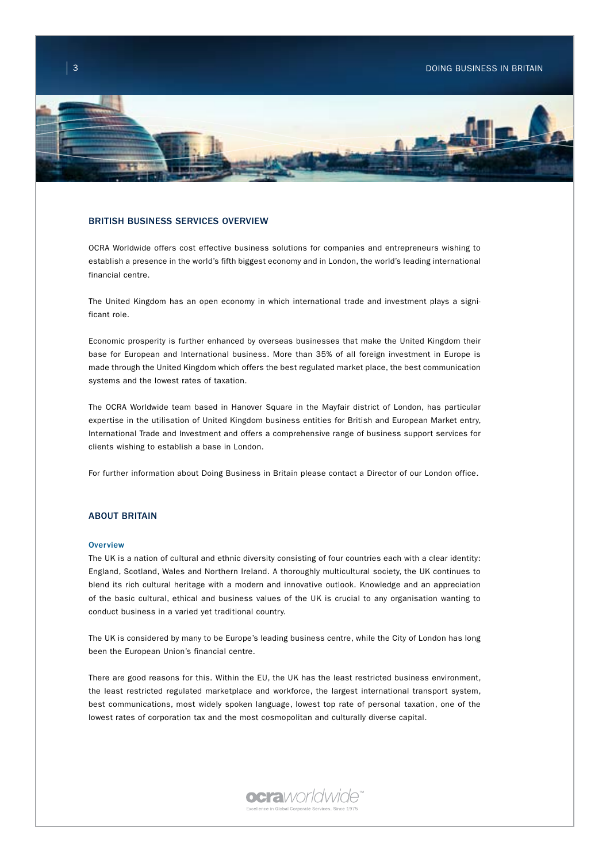

### BRITISH BUSINESS SERVICES OVERVIEW

OCRA Worldwide offers cost effective business solutions for companies and entrepreneurs wishing to establish a presence in the world's fifth biggest economy and in London, the world's leading international financial centre.

The United Kingdom has an open economy in which international trade and investment plays a significant role.

Economic prosperity is further enhanced by overseas businesses that make the United Kingdom their base for European and International business. More than 35% of all foreign investment in Europe is made through the United Kingdom which offers the best regulated market place, the best communication systems and the lowest rates of taxation.

The OCRA Worldwide team based in Hanover Square in the Mayfair district of London, has particular expertise in the utilisation of United Kingdom business entities for British and European Market entry, International Trade and Investment and offers a comprehensive range of business support services for clients wishing to establish a base in London.

For further information about Doing Business in Britain please contact a Director of our London office.

## ABOUT BRITAIN

#### **Overview**

The UK is a nation of cultural and ethnic diversity consisting of four countries each with a clear identity: England, Scotland, Wales and Northern Ireland. A thoroughly multicultural society, the UK continues to blend its rich cultural heritage with a modern and innovative outlook. Knowledge and an appreciation of the basic cultural, ethical and business values of the UK is crucial to any organisation wanting to conduct business in a varied yet traditional country.

The UK is considered by many to be Europe's leading business centre, while the City of London has long been the European Union's financial centre.

There are good reasons for this. Within the EU, the UK has the least restricted business environment, the least restricted regulated marketplace and workforce, the largest international transport system, best communications, most widely spoken language, lowest top rate of personal taxation, one of the lowest rates of corporation tax and the most cosmopolitan and culturally diverse capital.

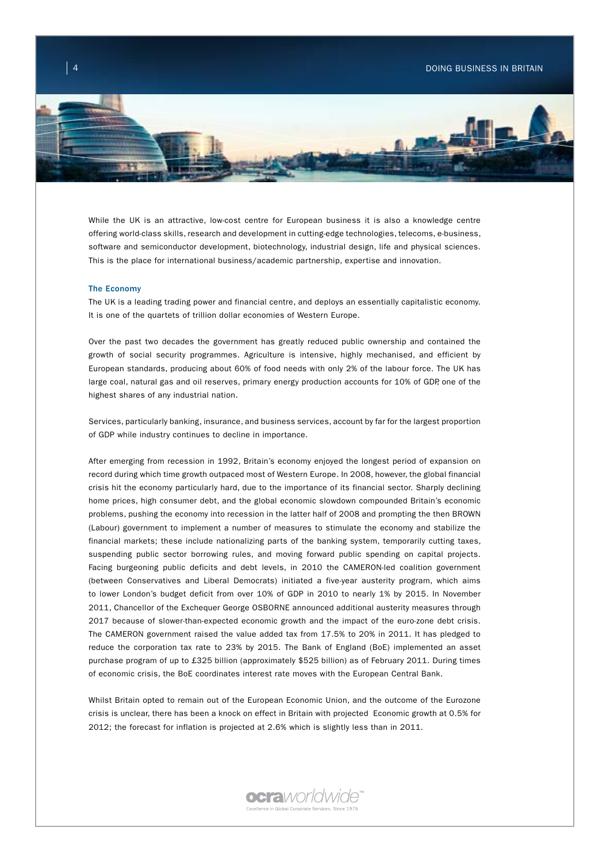

While the UK is an attractive, low-cost centre for European business it is also a knowledge centre offering world-class skills, research and development in cutting-edge technologies, telecoms, e-business, software and semiconductor development, biotechnology, industrial design, life and physical sciences. This is the place for international business/academic partnership, expertise and innovation.

#### The Economy

The UK is a leading trading power and financial centre, and deploys an essentially capitalistic economy. It is one of the quartets of trillion dollar economies of Western Europe.

Over the past two decades the government has greatly reduced public ownership and contained the growth of social security programmes. Agriculture is intensive, highly mechanised, and efficient by European standards, producing about 60% of food needs with only 2% of the labour force. The UK has large coal, natural gas and oil reserves, primary energy production accounts for 10% of GDP, one of the highest shares of any industrial nation.

Services, particularly banking, insurance, and business services, account by far for the largest proportion of GDP while industry continues to decline in importance.

After emerging from recession in 1992, Britain's economy enjoyed the longest period of expansion on record during which time growth outpaced most of Western Europe. In 2008, however, the global financial crisis hit the economy particularly hard, due to the importance of its financial sector. Sharply declining home prices, high consumer debt, and the global economic slowdown compounded Britain's economic problems, pushing the economy into recession in the latter half of 2008 and prompting the then BROWN (Labour) government to implement a number of measures to stimulate the economy and stabilize the financial markets; these include nationalizing parts of the banking system, temporarily cutting taxes, suspending public sector borrowing rules, and moving forward public spending on capital projects. Facing burgeoning public deficits and debt levels, in 2010 the CAMERON-led coalition government (between Conservatives and Liberal Democrats) initiated a five-year austerity program, which aims to lower London's budget deficit from over 10% of GDP in 2010 to nearly 1% by 2015. In November 2011, Chancellor of the Exchequer George OSBORNE announced additional austerity measures through 2017 because of slower-than-expected economic growth and the impact of the euro-zone debt crisis. The CAMERON government raised the value added tax from 17.5% to 20% in 2011. It has pledged to reduce the corporation tax rate to 23% by 2015. The Bank of England (BoE) implemented an asset purchase program of up to £325 billion (approximately \$525 billion) as of February 2011. During times of economic crisis, the BoE coordinates interest rate moves with the European Central Bank.

Whilst Britain opted to remain out of the European Economic Union, and the outcome of the Eurozone crisis is unclear, there has been a knock on effect in Britain with projected Economic growth at 0.5% for 2012; the forecast for inflation is projected at 2.6% which is slightly less than in 2011.

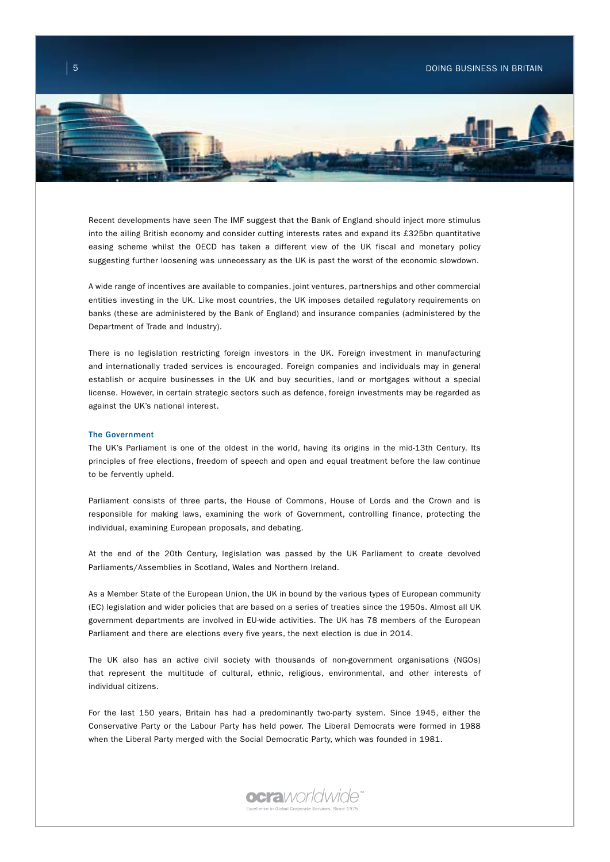

Recent developments have seen The IMF suggest that the Bank of England should inject more stimulus into the ailing British economy and consider cutting interests rates and expand its £325bn quantitative easing scheme whilst the OECD has taken a different view of the UK fiscal and monetary policy suggesting further loosening was unnecessary as the UK is past the worst of the economic slowdown.

A wide range of incentives are available to companies, joint ventures, partnerships and other commercial entities investing in the UK. Like most countries, the UK imposes detailed regulatory requirements on banks (these are administered by the Bank of England) and insurance companies (administered by the Department of Trade and Industry).

There is no legislation restricting foreign investors in the UK. Foreign investment in manufacturing and internationally traded services is encouraged. Foreign companies and individuals may in general establish or acquire businesses in the UK and buy securities, land or mortgages without a special license. However, in certain strategic sectors such as defence, foreign investments may be regarded as against the UK's national interest.

#### The Government

The UK's Parliament is one of the oldest in the world, having its origins in the mid-13th Century. Its principles of free elections, freedom of speech and open and equal treatment before the law continue to be fervently upheld.

Parliament consists of three parts, the House of Commons, House of Lords and the Crown and is responsible for making laws, examining the work of Government, controlling finance, protecting the individual, examining European proposals, and debating.

At the end of the 20th Century, legislation was passed by the UK Parliament to create devolved Parliaments/Assemblies in Scotland, Wales and Northern Ireland.

As a Member State of the European Union, the UK in bound by the various types of European community (EC) legislation and wider policies that are based on a series of treaties since the 1950s. Almost all UK government departments are involved in EU-wide activities. The UK has 78 members of the European Parliament and there are elections every five years, the next election is due in 2014.

The UK also has an active civil society with thousands of non-government organisations (NGOs) that represent the multitude of cultural, ethnic, religious, environmental, and other interests of individual citizens.

For the last 150 years, Britain has had a predominantly two-party system. Since 1945, either the Conservative Party or the Labour Party has held power. The Liberal Democrats were formed in 1988 when the Liberal Party merged with the Social Democratic Party, which was founded in 1981.

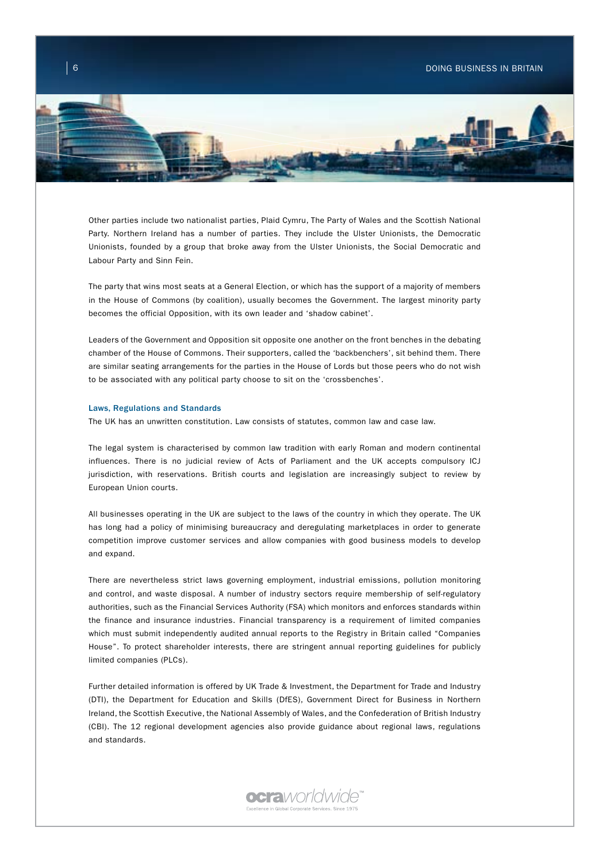

Other parties include two nationalist parties, Plaid Cymru, The Party of Wales and the Scottish National Party. Northern Ireland has a number of parties. They include the Ulster Unionists, the Democratic Unionists, founded by a group that broke away from the Ulster Unionists, the Social Democratic and Labour Party and Sinn Fein.

The party that wins most seats at a General Election, or which has the support of a majority of members in the House of Commons (by coalition), usually becomes the Government. The largest minority party becomes the official Opposition, with its own leader and 'shadow cabinet'.

Leaders of the Government and Opposition sit opposite one another on the front benches in the debating chamber of the House of Commons. Their supporters, called the 'backbenchers', sit behind them. There are similar seating arrangements for the parties in the House of Lords but those peers who do not wish to be associated with any political party choose to sit on the 'crossbenches'.

### Laws, Regulations and Standards

The UK has an unwritten constitution. Law consists of statutes, common law and case law.

The legal system is characterised by common law tradition with early Roman and modern continental influences. There is no judicial review of Acts of Parliament and the UK accepts compulsory ICJ jurisdiction, with reservations. British courts and legislation are increasingly subject to review by European Union courts.

All businesses operating in the UK are subject to the laws of the country in which they operate. The UK has long had a policy of minimising bureaucracy and deregulating marketplaces in order to generate competition improve customer services and allow companies with good business models to develop and expand.

There are nevertheless strict laws governing employment, industrial emissions, pollution monitoring and control, and waste disposal. A number of industry sectors require membership of self-regulatory authorities, such as the Financial Services Authority (FSA) which monitors and enforces standards within the finance and insurance industries. Financial transparency is a requirement of limited companies which must submit independently audited annual reports to the Registry in Britain called "Companies House". To protect shareholder interests, there are stringent annual reporting guidelines for publicly limited companies (PLCs).

Further detailed information is offered by UK Trade & Investment, the Department for Trade and Industry (DTI), the Department for Education and Skills (DfES), Government Direct for Business in Northern Ireland, the Scottish Executive, the National Assembly of Wales, and the Confederation of British Industry (CBI). The 12 regional development agencies also provide guidance about regional laws, regulations and standards.

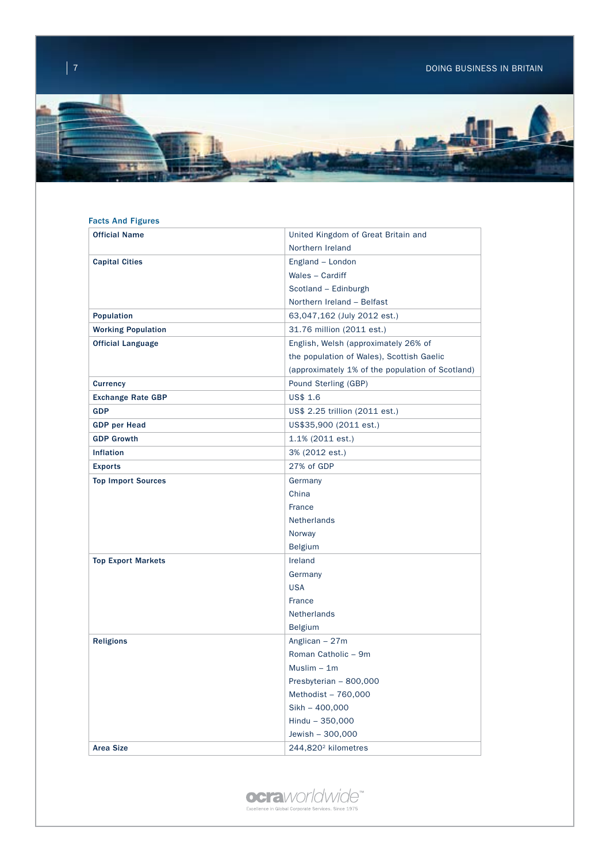

# Facts And Figures

| <b>Official Name</b>      | United Kingdom of Great Britain and              |  |
|---------------------------|--------------------------------------------------|--|
|                           | Northern Ireland                                 |  |
| <b>Capital Cities</b>     | England - London                                 |  |
|                           | Wales - Cardiff                                  |  |
|                           | Scotland - Edinburgh                             |  |
|                           | Northern Ireland - Belfast                       |  |
| <b>Population</b>         | 63,047,162 (July 2012 est.)                      |  |
| <b>Working Population</b> | 31.76 million (2011 est.)                        |  |
| <b>Official Language</b>  | English, Welsh (approximately 26% of             |  |
|                           | the population of Wales), Scottish Gaelic        |  |
|                           | (approximately 1% of the population of Scotland) |  |
| <b>Currency</b>           | Pound Sterling (GBP)                             |  |
| <b>Exchange Rate GBP</b>  | US\$ 1.6                                         |  |
| <b>GDP</b>                | US\$ 2.25 trillion (2011 est.)                   |  |
| <b>GDP</b> per Head       | US\$35,900 (2011 est.)                           |  |
| <b>GDP Growth</b>         | 1.1% (2011 est.)                                 |  |
| <b>Inflation</b>          | 3% (2012 est.)                                   |  |
| <b>Exports</b>            | 27% of GDP                                       |  |
| <b>Top Import Sources</b> | Germany                                          |  |
|                           | China                                            |  |
|                           | France                                           |  |
|                           | Netherlands                                      |  |
|                           | Norway                                           |  |
|                           | <b>Belgium</b>                                   |  |
| <b>Top Export Markets</b> | Ireland                                          |  |
|                           | Germany                                          |  |
|                           | <b>USA</b>                                       |  |
|                           | France                                           |  |
|                           | Netherlands                                      |  |
|                           | <b>Belgium</b>                                   |  |
| <b>Religions</b>          | Anglican - 27m                                   |  |
|                           | Roman Catholic - 9m                              |  |
|                           | $Muslim - 1m$                                    |  |
|                           | Presbyterian - 800,000                           |  |
|                           | Methodist - 760,000                              |  |
|                           | $Sikh - 400,000$                                 |  |
|                           | Hindu - 350,000                                  |  |
|                           | Jewish - 300,000                                 |  |
| <b>Area Size</b>          | 244,820 <sup>2</sup> kilometres                  |  |

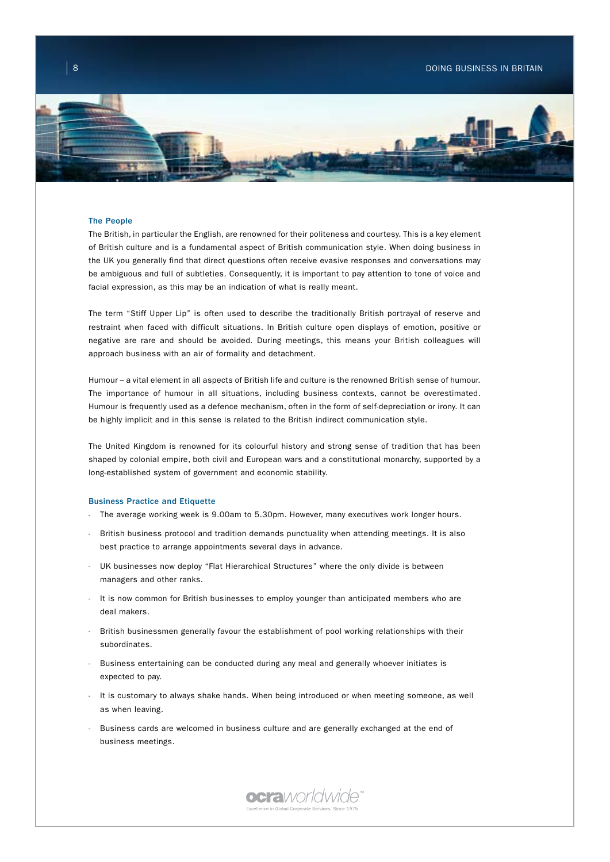

### The People

The British, in particular the English, are renowned for their politeness and courtesy. This is a key element of British culture and is a fundamental aspect of British communication style. When doing business in the UK you generally find that direct questions often receive evasive responses and conversations may be ambiguous and full of subtleties. Consequently, it is important to pay attention to tone of voice and facial expression, as this may be an indication of what is really meant.

The term "Stiff Upper Lip" is often used to describe the traditionally British portrayal of reserve and restraint when faced with difficult situations. In British culture open displays of emotion, positive or negative are rare and should be avoided. During meetings, this means your British colleagues will approach business with an air of formality and detachment.

Humour – a vital element in all aspects of British life and culture is the renowned British sense of humour. The importance of humour in all situations, including business contexts, cannot be overestimated. Humour is frequently used as a defence mechanism, often in the form of self-depreciation or irony. It can be highly implicit and in this sense is related to the British indirect communication style.

The United Kingdom is renowned for its colourful history and strong sense of tradition that has been shaped by colonial empire, both civil and European wars and a constitutional monarchy, supported by a long-established system of government and economic stability.

#### Business Practice and Etiquette

- The average working week is 9.00am to 5.30pm. However, many executives work longer hours.
- British business protocol and tradition demands punctuality when attending meetings. It is also best practice to arrange appointments several days in advance.
- UK businesses now deploy "Flat Hierarchical Structures" where the only divide is between managers and other ranks.
- It is now common for British businesses to employ younger than anticipated members who are deal makers.
- British businessmen generally favour the establishment of pool working relationships with their subordinates.
- Business entertaining can be conducted during any meal and generally whoever initiates is expected to pay.
- It is customary to always shake hands. When being introduced or when meeting someone, as well as when leaving.
- Business cards are welcomed in business culture and are generally exchanged at the end of business meetings.

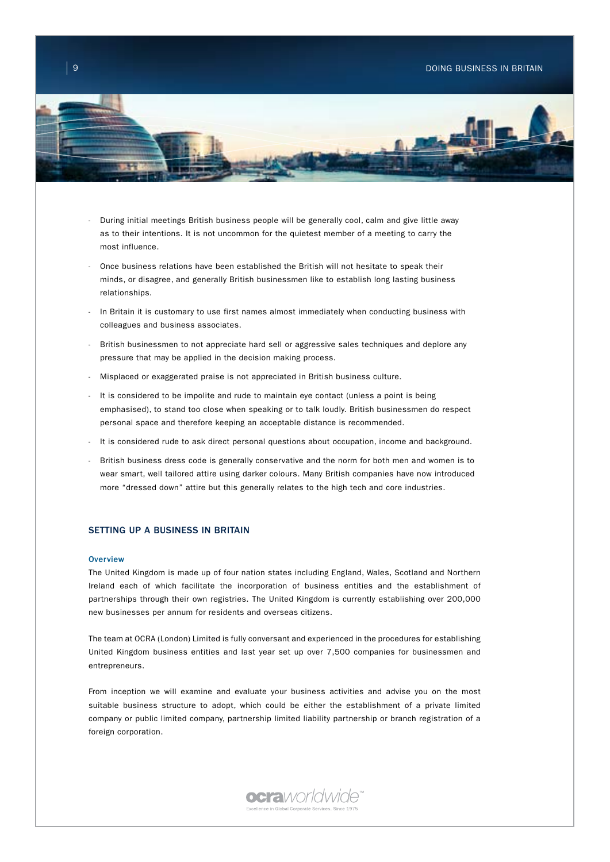

- During initial meetings British business people will be generally cool, calm and give little away as to their intentions. It is not uncommon for the quietest member of a meeting to carry the most influence.
- Once business relations have been established the British will not hesitate to speak their minds, or disagree, and generally British businessmen like to establish long lasting business relationships.
- In Britain it is customary to use first names almost immediately when conducting business with colleagues and business associates.
- British businessmen to not appreciate hard sell or aggressive sales techniques and deplore any pressure that may be applied in the decision making process.
- Misplaced or exaggerated praise is not appreciated in British business culture.
- It is considered to be impolite and rude to maintain eye contact (unless a point is being emphasised), to stand too close when speaking or to talk loudly. British businessmen do respect personal space and therefore keeping an acceptable distance is recommended.
- It is considered rude to ask direct personal questions about occupation, income and background.
- British business dress code is generally conservative and the norm for both men and women is to wear smart, well tailored attire using darker colours. Many British companies have now introduced more "dressed down" attire but this generally relates to the high tech and core industries.

## SETTING UP A BUSINESS IN BRITAIN

#### **Overview**

The United Kingdom is made up of four nation states including England, Wales, Scotland and Northern Ireland each of which facilitate the incorporation of business entities and the establishment of partnerships through their own registries. The United Kingdom is currently establishing over 200,000 new businesses per annum for residents and overseas citizens.

The team at OCRA (London) Limited is fully conversant and experienced in the procedures for establishing United Kingdom business entities and last year set up over 7,500 companies for businessmen and entrepreneurs.

From inception we will examine and evaluate your business activities and advise you on the most suitable business structure to adopt, which could be either the establishment of a private limited company or public limited company, partnership limited liability partnership or branch registration of a foreign corporation.

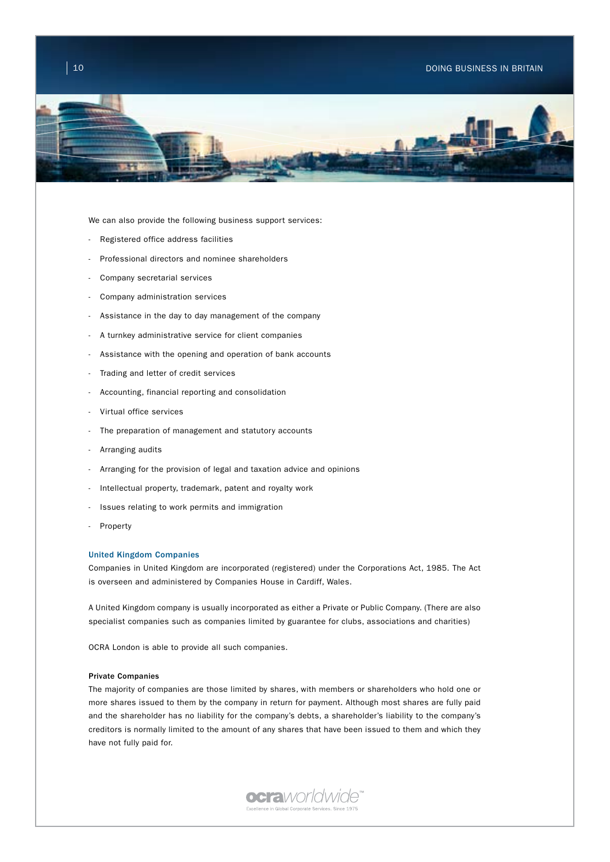## $\begin{array}{|c|c|c|c|c|}\hline \hspace{0.1cm}10 & \hspace{0.1cm} & \hspace{0.1cm} & \hspace{0.1cm} & \hspace{0.1cm} & \hspace{0.1cm} & \hspace{0.1cm} & \hspace{0.1cm} & \hspace{0.1cm} & \hspace{0.1cm} & \hspace{0.1cm} & \hspace{0.1cm} & \hspace{0.1cm} & \hspace{0.1cm} & \hspace{0.1cm} & \hspace{0.1cm} & \hspace{0.1cm} & \hspace{0.1cm} & \hspace{0.1cm} & \hspace{0.1cm}$



We can also provide the following business support services:

- Registered office address facilities
- Professional directors and nominee shareholders
- Company secretarial services
- Company administration services
- Assistance in the day to day management of the company
- A turnkey administrative service for client companies
- Assistance with the opening and operation of bank accounts
- Trading and letter of credit services
- Accounting, financial reporting and consolidation
- Virtual office services
- The preparation of management and statutory accounts
- Arranging audits
- Arranging for the provision of legal and taxation advice and opinions
- Intellectual property, trademark, patent and royalty work
- Issues relating to work permits and immigration
- **Property**

## United Kingdom Companies

Companies in United Kingdom are incorporated (registered) under the Corporations Act, 1985. The Act is overseen and administered by Companies House in Cardiff, Wales.

A United Kingdom company is usually incorporated as either a Private or Public Company. (There are also specialist companies such as companies limited by guarantee for clubs, associations and charities)

OCRA London is able to provide all such companies.

### Private Companies

The majority of companies are those limited by shares, with members or shareholders who hold one or more shares issued to them by the company in return for payment. Although most shares are fully paid and the shareholder has no liability for the company's debts, a shareholder's liability to the company's creditors is normally limited to the amount of any shares that have been issued to them and which they have not fully paid for.

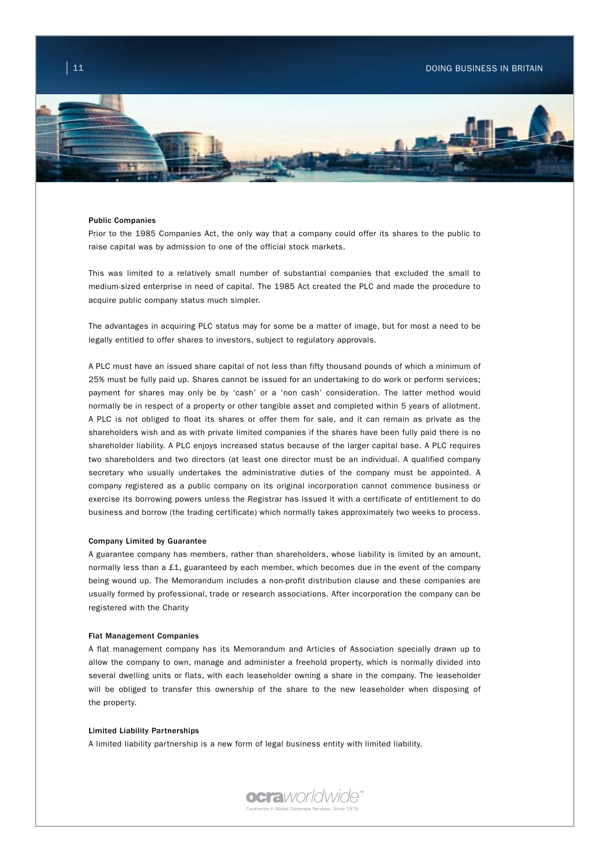

#### Public Companies

Prior to the 1985 Companies Act, the only way that a company could offer its shares to the public to raise capital was by admission to one of the official stock markets.

This was limited to a relatively small number of substantial companies that excluded the small to medium-sized enterprise in need of capital. The 1985 Act created the PLC and made the procedure to acquire public company status much simpler.

The advantages in acquiring PLC status may for some be a matter of image, but for most a need to be legally entitled to offer shares to investors, subject to regulatory approvals.

A PLC must have an issued share capital of not less than fifty thousand pounds of which a minimum of 25% must be fully paid up. Shares cannot be issued for an undertaking to do work or perform services; payment for shares may only be by 'cash' or a 'non cash' consideration. The latter method would normally be in respect of a property or other tangible asset and completed within 5 years of allotment. A PLC is not obliged to float its shares or offer them for sale, and it can remain as private as the shareholders wish and as with private limited companies if the shares have been fully paid there is no shareholder liability. A PLC enjoys increased status because of the larger capital base. A PLC requires two shareholders and two directors (at least one director must be an individual. A qualified company secretary who usually undertakes the administrative duties of the company must be appointed. A company registered as a public company on its original incorporation cannot commence business or exercise its borrowing powers unless the Registrar has issued it with a certificate of entitlement to do business and borrow (the trading certificate) which normally takes approximately two weeks to process.

### Company Limited by Guarantee

A guarantee company has members, rather than shareholders, whose liability is limited by an amount, normally less than a £1, guaranteed by each member, which becomes due in the event of the company being wound up. The Memorandum includes a non-profit distribution clause and these companies are usually formed by professional, trade or research associations. After incorporation the company can be registered with the Charity

#### Flat Management Companies

A flat management company has its Memorandum and Articles of Association specially drawn up to allow the company to own, manage and administer a freehold property, which is normally divided into several dwelling units or flats, with each leaseholder owning a share in the company. The leaseholder will be obliged to transfer this ownership of the share to the new leaseholder when disposing of the property.

#### Limited Liability Partnerships

A limited liability partnership is a new form of legal business entity with limited liability.

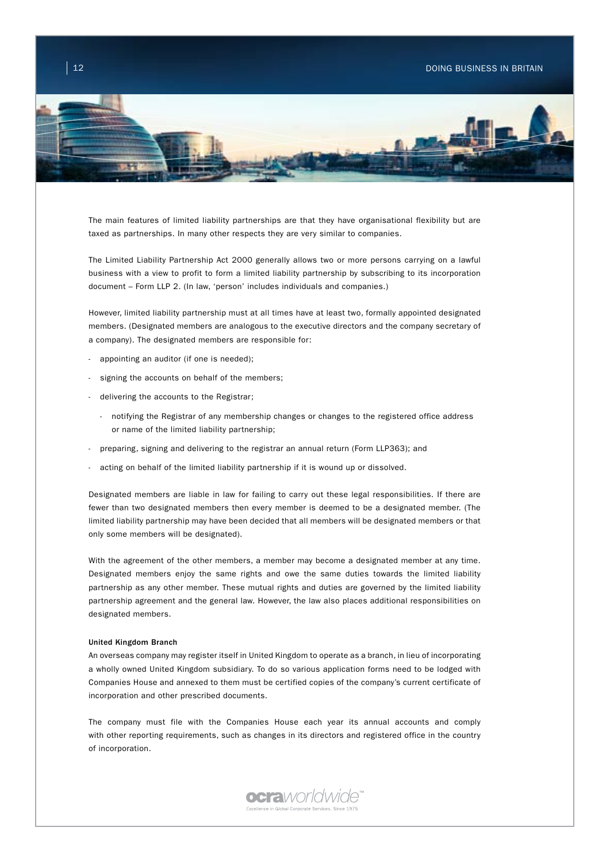

The main features of limited liability partnerships are that they have organisational flexibility but are taxed as partnerships. In many other respects they are very similar to companies.

The Limited Liability Partnership Act 2000 generally allows two or more persons carrying on a lawful business with a view to profit to form a limited liability partnership by subscribing to its incorporation document – Form LLP 2. (In law, 'person' includes individuals and companies.)

However, limited liability partnership must at all times have at least two, formally appointed designated members. (Designated members are analogous to the executive directors and the company secretary of a company). The designated members are responsible for:

- appointing an auditor (if one is needed);
- signing the accounts on behalf of the members;
- delivering the accounts to the Registrar;
	- notifying the Registrar of any membership changes or changes to the registered office address or name of the limited liability partnership;
- preparing, signing and delivering to the registrar an annual return (Form LLP363); and
- acting on behalf of the limited liability partnership if it is wound up or dissolved.

Designated members are liable in law for failing to carry out these legal responsibilities. If there are fewer than two designated members then every member is deemed to be a designated member. (The limited liability partnership may have been decided that all members will be designated members or that only some members will be designated).

With the agreement of the other members, a member may become a designated member at any time. Designated members enjoy the same rights and owe the same duties towards the limited liability partnership as any other member. These mutual rights and duties are governed by the limited liability partnership agreement and the general law. However, the law also places additional responsibilities on designated members.

#### United Kingdom Branch

An overseas company may register itself in United Kingdom to operate as a branch, in lieu of incorporating a wholly owned United Kingdom subsidiary. To do so various application forms need to be lodged with Companies House and annexed to them must be certified copies of the company's current certificate of incorporation and other prescribed documents.

The company must file with the Companies House each year its annual accounts and comply with other reporting requirements, such as changes in its directors and registered office in the country of incorporation.

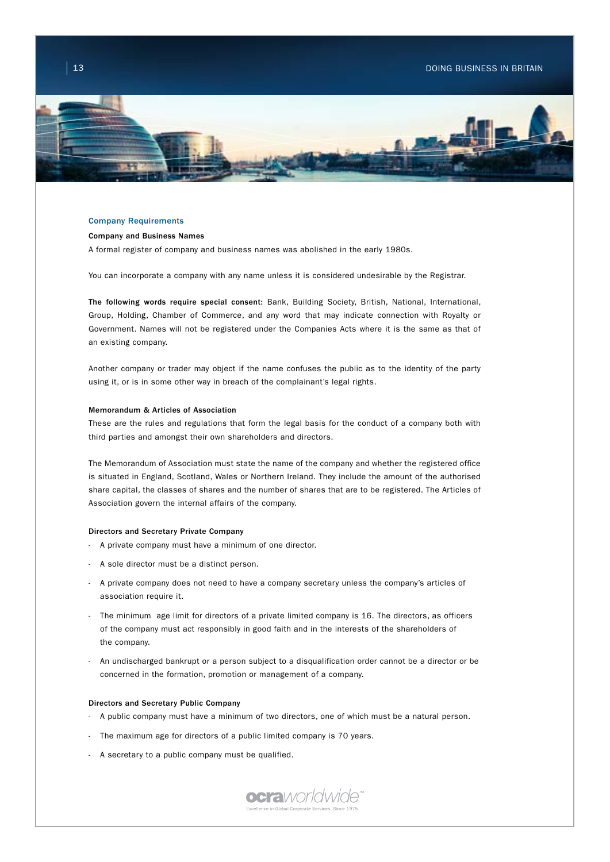

### Company Requirements

### Company and Business Names

A formal register of company and business names was abolished in the early 1980s.

You can incorporate a company with any name unless it is considered undesirable by the Registrar.

The following words require special consent: Bank, Building Society, British, National, International, Group, Holding, Chamber of Commerce, and any word that may indicate connection with Royalty or Government. Names will not be registered under the Companies Acts where it is the same as that of an existing company.

Another company or trader may object if the name confuses the public as to the identity of the party using it, or is in some other way in breach of the complainant's legal rights.

#### Memorandum & Articles of Association

These are the rules and regulations that form the legal basis for the conduct of a company both with third parties and amongst their own shareholders and directors.

The Memorandum of Association must state the name of the company and whether the registered office is situated in England, Scotland, Wales or Northern Ireland. They include the amount of the authorised share capital, the classes of shares and the number of shares that are to be registered. The Articles of Association govern the internal affairs of the company.

### Directors and Secretary Private Company

- A private company must have a minimum of one director.
- A sole director must be a distinct person.
- A private company does not need to have a company secretary unless the company's articles of association require it.
- The minimum age limit for directors of a private limited company is 16. The directors, as officers of the company must act responsibly in good faith and in the interests of the shareholders of the company.
- An undischarged bankrupt or a person subject to a disqualification order cannot be a director or be concerned in the formation, promotion or management of a company.

#### Directors and Secretary Public Company

- A public company must have a minimum of two directors, one of which must be a natural person.
- The maximum age for directors of a public limited company is 70 years.
- A secretary to a public company must be qualified.

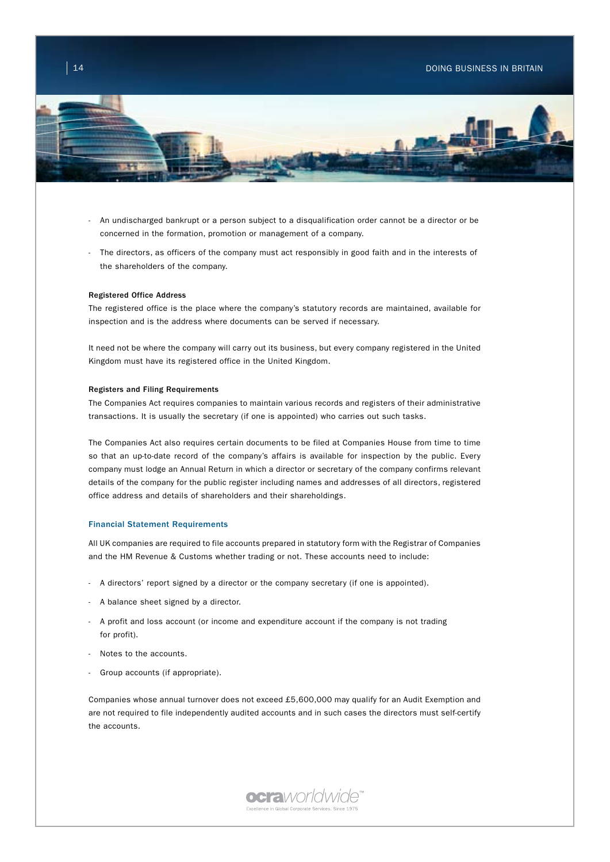## $\begin{array}{|c|c|c|c|c|}\hline 14 & \multicolumn{1}{|c|}{\text{DONG BUSINES IN BRITAIN}} \hline \end{array}$



- An undischarged bankrupt or a person subject to a disqualification order cannot be a director or be concerned in the formation, promotion or management of a company.
- The directors, as officers of the company must act responsibly in good faith and in the interests of the shareholders of the company.

#### Registered Office Address

The registered office is the place where the company's statutory records are maintained, available for inspection and is the address where documents can be served if necessary.

It need not be where the company will carry out its business, but every company registered in the United Kingdom must have its registered office in the United Kingdom.

### Registers and Filing Requirements

The Companies Act requires companies to maintain various records and registers of their administrative transactions. It is usually the secretary (if one is appointed) who carries out such tasks.

The Companies Act also requires certain documents to be filed at Companies House from time to time so that an up-to-date record of the company's affairs is available for inspection by the public. Every company must lodge an Annual Return in which a director or secretary of the company confirms relevant details of the company for the public register including names and addresses of all directors, registered office address and details of shareholders and their shareholdings.

## Financial Statement Requirements

All UK companies are required to file accounts prepared in statutory form with the Registrar of Companies and the HM Revenue & Customs whether trading or not. These accounts need to include:

- A directors' report signed by a director or the company secretary (if one is appointed).
- A balance sheet signed by a director.
- A profit and loss account (or income and expenditure account if the company is not trading for profit).
- Notes to the accounts.
- Group accounts (if appropriate).

Companies whose annual turnover does not exceed £5,600,000 may qualify for an Audit Exemption and are not required to file independently audited accounts and in such cases the directors must self-certify the accounts.

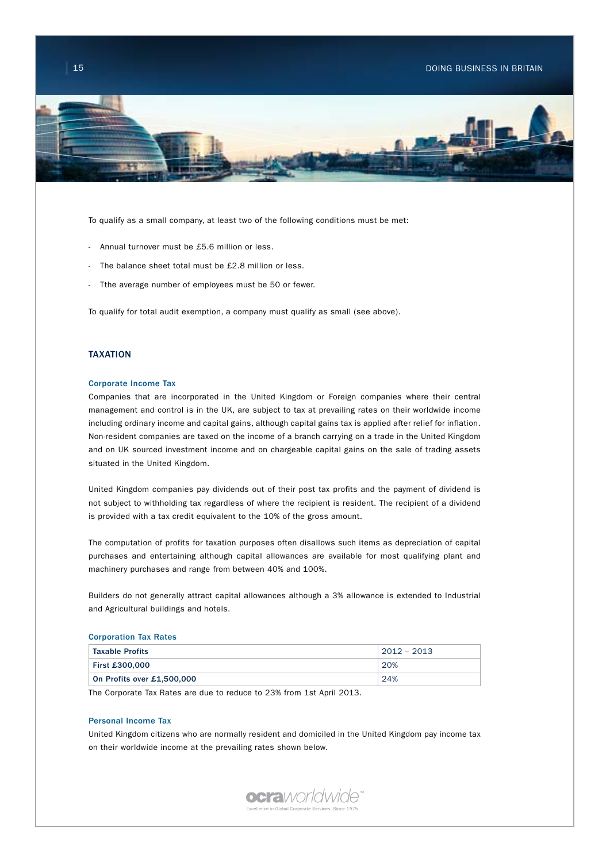

To qualify as a small company, at least two of the following conditions must be met:

- Annual turnover must be £5.6 million or less.
- The balance sheet total must be £2.8 million or less.
- Tthe average number of employees must be 50 or fewer.

To qualify for total audit exemption, a company must qualify as small (see above).

## TAXATION

#### Corporate Income Tax

Companies that are incorporated in the United Kingdom or Foreign companies where their central management and control is in the UK, are subject to tax at prevailing rates on their worldwide income including ordinary income and capital gains, although capital gains tax is applied after relief for inflation. Non-resident companies are taxed on the income of a branch carrying on a trade in the United Kingdom and on UK sourced investment income and on chargeable capital gains on the sale of trading assets situated in the United Kingdom.

United Kingdom companies pay dividends out of their post tax profits and the payment of dividend is not subject to withholding tax regardless of where the recipient is resident. The recipient of a dividend is provided with a tax credit equivalent to the 10% of the gross amount.

The computation of profits for taxation purposes often disallows such items as depreciation of capital purchases and entertaining although capital allowances are available for most qualifying plant and machinery purchases and range from between 40% and 100%.

Builders do not generally attract capital allowances although a 3% allowance is extended to Industrial and Agricultural buildings and hotels.

#### Corporation Tax Rates

| <b>Taxable Profits</b>     | $2012 - 2013$ |
|----------------------------|---------------|
| <b>First £300,000</b>      | 20%           |
| On Profits over £1,500,000 | 24%           |

The Corporate Tax Rates are due to reduce to 23% from 1st April 2013.

### Personal Income Tax

United Kingdom citizens who are normally resident and domiciled in the United Kingdom pay income tax on their worldwide income at the prevailing rates shown below.

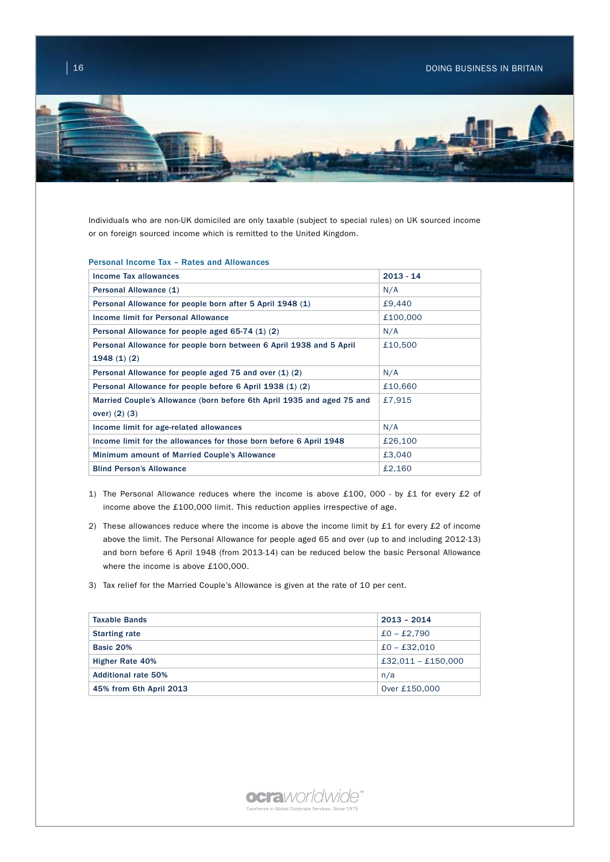

Individuals who are non-UK domiciled are only taxable (subject to special rules) on UK sourced income or on foreign sourced income which is remitted to the United Kingdom.

### Personal Income Tax – Rates and Allowances

| Income Tax allowances                                                  | $2013 - 14$ |
|------------------------------------------------------------------------|-------------|
| Personal Allowance (1)                                                 | N/A         |
| Personal Allowance for people born after 5 April 1948 (1)              | £9,440      |
| Income limit for Personal Allowance                                    | £100,000    |
| Personal Allowance for people aged 65-74 (1) (2)                       | N/A         |
| Personal Allowance for people born between 6 April 1938 and 5 April    | £10,500     |
| 1948(1)(2)                                                             |             |
| Personal Allowance for people aged 75 and over (1) (2)                 | N/A         |
| Personal Allowance for people before 6 April 1938 (1) (2)              | £10,660     |
| Married Couple's Allowance (born before 6th April 1935 and aged 75 and | £7,915      |
| over) $(2)$ $(3)$                                                      |             |
| Income limit for age-related allowances                                | N/A         |
| Income limit for the allowances for those born before 6 April 1948     | £26,100     |
| Minimum amount of Married Couple's Allowance                           | £3,040      |
| <b>Blind Person's Allowance</b>                                        | £2,160      |

- 1) The Personal Allowance reduces where the income is above £100, 000 by £1 for every £2 of income above the £100,000 limit. This reduction applies irrespective of age.
- 2) These allowances reduce where the income is above the income limit by £1 for every £2 of income above the limit. The Personal Allowance for people aged 65 and over (up to and including 2012-13) and born before 6 April 1948 (from 2013-14) can be reduced below the basic Personal Allowance where the income is above £100,000.
- 3) Tax relief for the Married Couple's Allowance is given at the rate of 10 per cent.

| <b>Taxable Bands</b>       | $2013 - 2014$        |
|----------------------------|----------------------|
| <b>Starting rate</b>       | $£0 - £2.790$        |
| Basic 20%                  | $£0 - £32.010$       |
| <b>Higher Rate 40%</b>     | $£32,011 - £150,000$ |
| <b>Additional rate 50%</b> | n/a                  |
| 45% from 6th April 2013    | Over £150,000        |
|                            |                      |

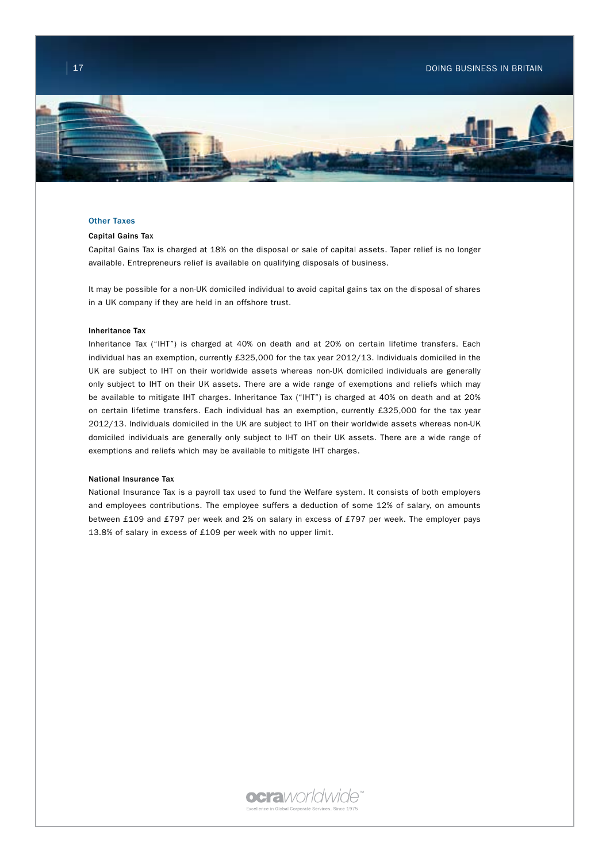

### Other Taxes

### Capital Gains Tax

Capital Gains Tax is charged at 18% on the disposal or sale of capital assets. Taper relief is no longer available. Entrepreneurs relief is available on qualifying disposals of business.

It may be possible for a non-UK domiciled individual to avoid capital gains tax on the disposal of shares in a UK company if they are held in an offshore trust.

### Inheritance Tax

Inheritance Tax ("IHT") is charged at 40% on death and at 20% on certain lifetime transfers. Each individual has an exemption, currently £325,000 for the tax year 2012/13. Individuals domiciled in the UK are subject to IHT on their worldwide assets whereas non-UK domiciled individuals are generally only subject to IHT on their UK assets. There are a wide range of exemptions and reliefs which may be available to mitigate IHT charges. Inheritance Tax ("IHT") is charged at 40% on death and at 20% on certain lifetime transfers. Each individual has an exemption, currently £325,000 for the tax year 2012/13. Individuals domiciled in the UK are subject to IHT on their worldwide assets whereas non-UK domiciled individuals are generally only subject to IHT on their UK assets. There are a wide range of exemptions and reliefs which may be available to mitigate IHT charges.

### National Insurance Tax

National Insurance Tax is a payroll tax used to fund the Welfare system. It consists of both employers and employees contributions. The employee suffers a deduction of some 12% of salary, on amounts between £109 and £797 per week and 2% on salary in excess of £797 per week. The employer pays 13.8% of salary in excess of £109 per week with no upper limit.

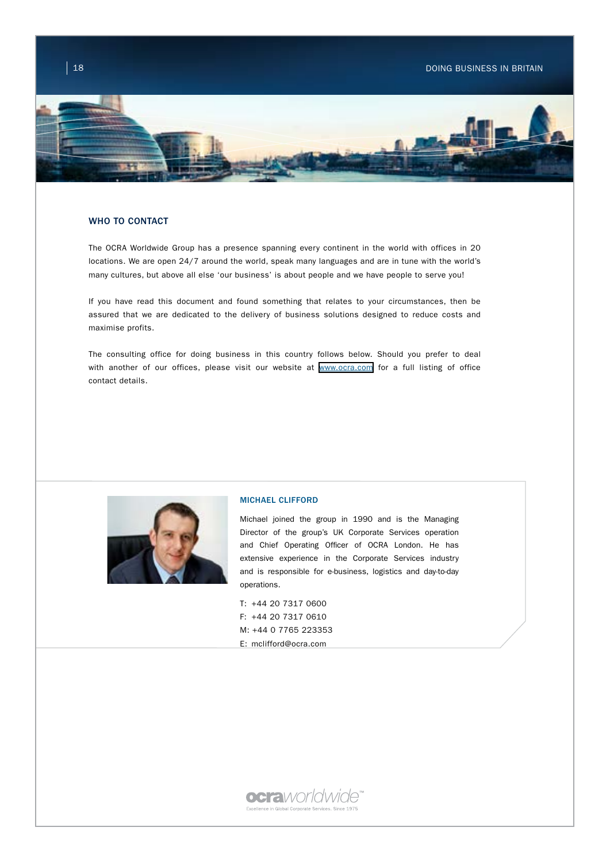# $\parallel$  18  $\parallel$  18 DOING BUSINESS IN BRITAIN



## WHO TO CONTACT

The OCRA Worldwide Group has a presence spanning every continent in the world with offices in 20 locations. We are open 24/7 around the world, speak many languages and are in tune with the world's many cultures, but above all else 'our business' is about people and we have people to serve you!

If you have read this document and found something that relates to your circumstances, then be assured that we are dedicated to the delivery of business solutions designed to reduce costs and maximise profits.

The consulting office for doing business in this country follows below. Should you prefer to deal with another of our offices, please visit our website at [www.ocra.com](http://www.ocra.com) for a full listing of office contact details.



## MICHAEL CLIFFORD

Michael joined the group in 1990 and is the Managing Director of the group's UK Corporate Services operation and Chief Operating Officer of OCRA London. He has extensive experience in the Corporate Services industry and is responsible for e-business, logistics and day-to-day operations.

T: +44 20 7317 0600 F: +44 20 7317 0610 M: +44 0 7765 223353 E: mclifford@ocra.com